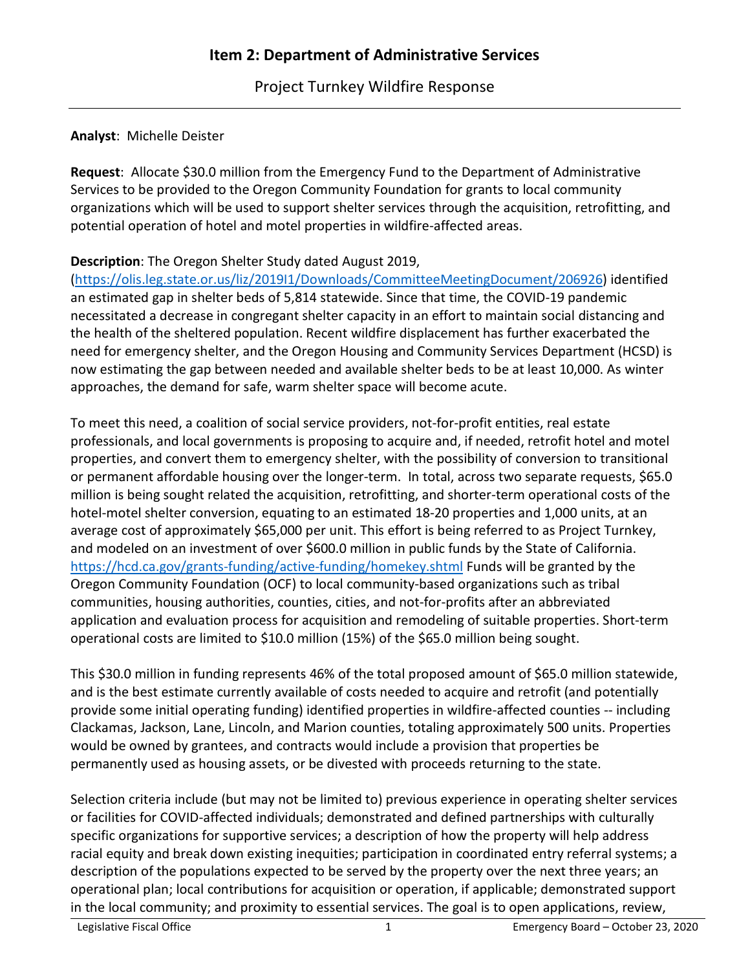Project Turnkey Wildfire Response

## **Analyst**: Michelle Deister

**Request**: Allocate \$30.0 million from the Emergency Fund to the Department of Administrative Services to be provided to the Oregon Community Foundation for grants to local community organizations which will be used to support shelter services through the acquisition, retrofitting, and potential operation of hotel and motel properties in wildfire-affected areas.

## **Description**: The Oregon Shelter Study dated August 2019,

[\(https://olis.leg.state.or.us/liz/2019I1/Downloads/CommitteeMeetingDocument/206926\)](https://olis.leg.state.or.us/liz/2019I1/Downloads/CommitteeMeetingDocument/206926) identified an estimated gap in shelter beds of 5,814 statewide. Since that time, the COVID-19 pandemic necessitated a decrease in congregant shelter capacity in an effort to maintain social distancing and the health of the sheltered population. Recent wildfire displacement has further exacerbated the need for emergency shelter, and the Oregon Housing and Community Services Department (HCSD) is now estimating the gap between needed and available shelter beds to be at least 10,000. As winter approaches, the demand for safe, warm shelter space will become acute.

To meet this need, a coalition of social service providers, not-for-profit entities, real estate professionals, and local governments is proposing to acquire and, if needed, retrofit hotel and motel properties, and convert them to emergency shelter, with the possibility of conversion to transitional or permanent affordable housing over the longer-term. In total, across two separate requests, \$65.0 million is being sought related the acquisition, retrofitting, and shorter-term operational costs of the hotel-motel shelter conversion, equating to an estimated 18-20 properties and 1,000 units, at an average cost of approximately \$65,000 per unit. This effort is being referred to as Project Turnkey, and modeled on an investment of over \$600.0 million in public funds by the State of California. <https://hcd.ca.gov/grants-funding/active-funding/homekey.shtml> Funds will be granted by the Oregon Community Foundation (OCF) to local community-based organizations such as tribal communities, housing authorities, counties, cities, and not-for-profits after an abbreviated application and evaluation process for acquisition and remodeling of suitable properties. Short-term operational costs are limited to \$10.0 million (15%) of the \$65.0 million being sought.

This \$30.0 million in funding represents 46% of the total proposed amount of \$65.0 million statewide, and is the best estimate currently available of costs needed to acquire and retrofit (and potentially provide some initial operating funding) identified properties in wildfire-affected counties -- including Clackamas, Jackson, Lane, Lincoln, and Marion counties, totaling approximately 500 units. Properties would be owned by grantees, and contracts would include a provision that properties be permanently used as housing assets, or be divested with proceeds returning to the state.

Selection criteria include (but may not be limited to) previous experience in operating shelter services or facilities for COVID-affected individuals; demonstrated and defined partnerships with culturally specific organizations for supportive services; a description of how the property will help address racial equity and break down existing inequities; participation in coordinated entry referral systems; a description of the populations expected to be served by the property over the next three years; an operational plan; local contributions for acquisition or operation, if applicable; demonstrated support in the local community; and proximity to essential services. The goal is to open applications, review,